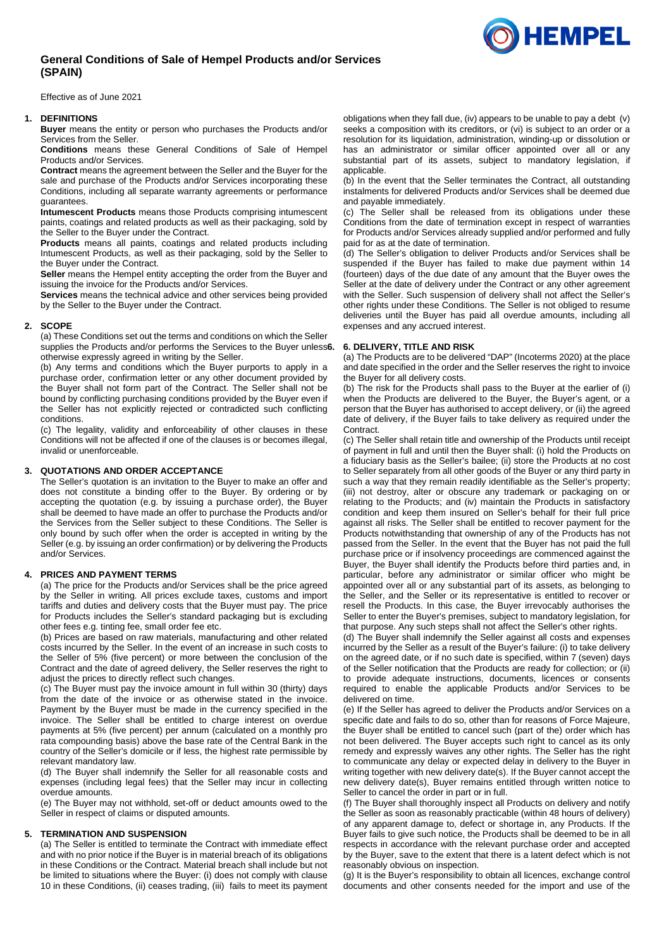# **General Conditions of Sale of Hempel Products and/or Services (SPAIN)**

Effective as of June 2021

### **1. DEFINITIONS**

**Buyer** means the entity or person who purchases the Products and/or Services from the Seller.

**Conditions** means these General Conditions of Sale of Hempel Products and/or Services.

**Contract** means the agreement between the Seller and the Buyer for the sale and purchase of the Products and/or Services incorporating these Conditions, including all separate warranty agreements or performance guarantees.

**Intumescent Products** means those Products comprising intumescent paints, coatings and related products as well as their packaging, sold by the Seller to the Buyer under the Contract.

**Products** means all paints, coatings and related products including Intumescent Products, as well as their packaging, sold by the Seller to the Buyer under the Contract.

**Seller** means the Hempel entity accepting the order from the Buyer and issuing the invoice for the Products and/or Services.

**Services** means the technical advice and other services being provided by the Seller to the Buyer under the Contract.

## **2. SCOPE**

(a) These Conditions set out the terms and conditions on which the Seller supplies the Products and/or performs the Services to the Buyer unless6. otherwise expressly agreed in writing by the Seller.

(b) Any terms and conditions which the Buyer purports to apply in a purchase order, confirmation letter or any other document provided by the Buyer shall not form part of the Contract. The Seller shall not be bound by conflicting purchasing conditions provided by the Buyer even if the Seller has not explicitly rejected or contradicted such conflicting conditions.

(c) The legality, validity and enforceability of other clauses in these Conditions will not be affected if one of the clauses is or becomes illegal, invalid or unenforceable.

## **3. QUOTATIONS AND ORDER ACCEPTANCE**

The Seller's quotation is an invitation to the Buyer to make an offer and does not constitute a binding offer to the Buyer. By ordering or by accepting the quotation (e.g. by issuing a purchase order), the Buyer shall be deemed to have made an offer to purchase the Products and/or the Services from the Seller subject to these Conditions. The Seller is only bound by such offer when the order is accepted in writing by the Seller (e.g. by issuing an order confirmation) or by delivering the Products and/or Services.

## **4. PRICES AND PAYMENT TERMS**

(a) The price for the Products and/or Services shall be the price agreed by the Seller in writing. All prices exclude taxes, customs and import tariffs and duties and delivery costs that the Buyer must pay. The price for Products includes the Seller's standard packaging but is excluding other fees e.g. tinting fee, small order fee etc.

(b) Prices are based on raw materials, manufacturing and other related costs incurred by the Seller. In the event of an increase in such costs to the Seller of 5% (five percent) or more between the conclusion of the Contract and the date of agreed delivery, the Seller reserves the right to adjust the prices to directly reflect such changes.

(c) The Buyer must pay the invoice amount in full within 30 (thirty) days from the date of the invoice or as otherwise stated in the invoice. Payment by the Buyer must be made in the currency specified in the invoice. The Seller shall be entitled to charge interest on overdue payments at 5% (five percent) per annum (calculated on a monthly pro rata compounding basis) above the base rate of the Central Bank in the country of the Seller's domicile or if less, the highest rate permissible by relevant mandatory law.

(d) The Buyer shall indemnify the Seller for all reasonable costs and expenses (including legal fees) that the Seller may incur in collecting overdue amounts.

(e) The Buyer may not withhold, set-off or deduct amounts owed to the Seller in respect of claims or disputed amounts.

### **5. TERMINATION AND SUSPENSION**

(a) The Seller is entitled to terminate the Contract with immediate effect and with no prior notice if the Buyer is in material breach of its obligations in these Conditions or the Contract. Material breach shall include but not be limited to situations where the Buyer: (i) does not comply with clause [10](#page-1-0) in these Conditions, (ii) ceases trading, (iii) fails to meet its payment obligations when they fall due, (iv) appears to be unable to pay a debt (v) seeks a composition with its creditors, or (vi) is subject to an order or a resolution for its liquidation, administration, winding-up or dissolution or has an administrator or similar officer appointed over all or any substantial part of its assets, subject to mandatory legislation, if applicable.

(b) In the event that the Seller terminates the Contract, all outstanding instalments for delivered Products and/or Services shall be deemed due and payable immediately.

(c) The Seller shall be released from its obligations under these Conditions from the date of termination except in respect of warranties for Products and/or Services already supplied and/or performed and fully paid for as at the date of termination.

(d) The Seller's obligation to deliver Products and/or Services shall be suspended if the Buyer has failed to make due payment within 14 (fourteen) days of the due date of any amount that the Buyer owes the Seller at the date of delivery under the Contract or any other agreement with the Seller. Such suspension of delivery shall not affect the Seller's other rights under these Conditions. The Seller is not obliged to resume deliveries until the Buyer has paid all overdue amounts, including all expenses and any accrued interest.

## **6. 6. DELIVERY, TITLE AND RISK**

(a) The Products are to be delivered "DAP" (Incoterms 2020) at the place and date specified in the order and the Seller reserves the right to invoice the Buyer for all delivery costs.

(b) The risk for the Products shall pass to the Buyer at the earlier of (i) when the Products are delivered to the Buyer, the Buyer's agent, or a person that the Buyer has authorised to accept delivery, or (ii) the agreed date of delivery, if the Buyer fails to take delivery as required under the Contract.

(c) The Seller shall retain title and ownership of the Products until receipt of payment in full and until then the Buyer shall: (i) hold the Products on a fiduciary basis as the Seller's bailee; (ii) store the Products at no cost to Seller separately from all other goods of the Buyer or any third party in such a way that they remain readily identifiable as the Seller's property; (iii) not destroy, alter or obscure any trademark or packaging on or relating to the Products; and (iv) maintain the Products in satisfactory condition and keep them insured on Seller's behalf for their full price against all risks. The Seller shall be entitled to recover payment for the Products notwithstanding that ownership of any of the Products has not passed from the Seller. In the event that the Buyer has not paid the full purchase price or if insolvency proceedings are commenced against the Buyer, the Buyer shall identify the Products before third parties and, in particular, before any administrator or similar officer who might be appointed over all or any substantial part of its assets, as belonging to the Seller, and the Seller or its representative is entitled to recover or resell the Products. In this case, the Buyer irrevocably authorises the Seller to enter the Buyer's premises, subject to mandatory legislation, for that purpose. Any such steps shall not affect the Seller's other rights.

(d) The Buyer shall indemnify the Seller against all costs and expenses incurred by the Seller as a result of the Buyer's failure: (i) to take delivery on the agreed date, or if no such date is specified, within 7 (seven) days of the Seller notification that the Products are ready for collection; or (ii) to provide adequate instructions, documents, licences or consents required to enable the applicable Products and/or Services to be delivered on time.

(e) If the Seller has agreed to deliver the Products and/or Services on a specific date and fails to do so, other than for reasons of Force Majeure, the Buyer shall be entitled to cancel such (part of the) order which has not been delivered. The Buyer accepts such right to cancel as its only remedy and expressly waives any other rights. The Seller has the right to communicate any delay or expected delay in delivery to the Buyer in writing together with new delivery date(s). If the Buyer cannot accept the new delivery date(s), Buyer remains entitled through written notice to Seller to cancel the order in part or in full.

(f) The Buyer shall thoroughly inspect all Products on delivery and notify the Seller as soon as reasonably practicable (within 48 hours of delivery) of any apparent damage to, defect or shortage in, any Products. If the Buyer fails to give such notice, the Products shall be deemed to be in all respects in accordance with the relevant purchase order and accepted by the Buyer, save to the extent that there is a latent defect which is not reasonably obvious on inspection.

(g) It is the Buyer's responsibility to obtain all licences, exchange control documents and other consents needed for the import and use of the

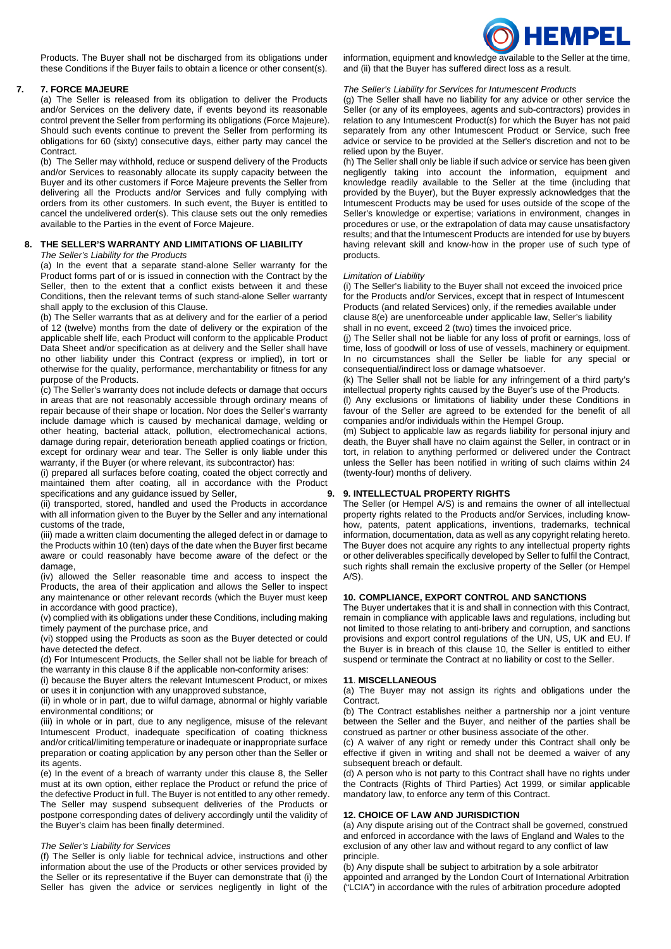

Products. The Buyer shall not be discharged from its obligations under these Conditions if the Buyer fails to obtain a licence or other consent(s).

## **7. 7. FORCE MAJEURE**

(a) The Seller is released from its obligation to deliver the Products and/or Services on the delivery date, if events beyond its reasonable control prevent the Seller from performing its obligations (Force Majeure). Should such events continue to prevent the Seller from performing its obligations for 60 (sixty) consecutive days, either party may cancel the Contract.

(b) The Seller may withhold, reduce or suspend delivery of the Products and/or Services to reasonably allocate its supply capacity between the Buyer and its other customers if Force Majeure prevents the Seller from delivering all the Products and/or Services and fully complying with orders from its other customers. In such event, the Buyer is entitled to cancel the undelivered order(s). This clause sets out the only remedies available to the Parties in the event of Force Majeure.

## **8. THE SELLER'S WARRANTY AND LIMITATIONS OF LIABILITY**

*The Seller's Liability for the Products* 

(a) In the event that a separate stand-alone Seller warranty for the Product forms part of or is issued in connection with the Contract by the Seller, then to the extent that a conflict exists between it and these Conditions, then the relevant terms of such stand-alone Seller warranty shall apply to the exclusion of this Clause.

(b) The Seller warrants that as at delivery and for the earlier of a period of 12 (twelve) months from the date of delivery or the expiration of the applicable shelf life, each Product will conform to the applicable Product Data Sheet and/or specification as at delivery and the Seller shall have no other liability under this Contract (express or implied), in tort or otherwise for the quality, performance, merchantability or fitness for any purpose of the Products.

(c) The Seller's warranty does not include defects or damage that occurs in areas that are not reasonably accessible through ordinary means of repair because of their shape or location. Nor does the Seller's warranty include damage which is caused by mechanical damage, welding or other heating, bacterial attack, pollution, electromechanical actions, damage during repair, deterioration beneath applied coatings or friction, except for ordinary wear and tear. The Seller is only liable under this warranty, if the Buyer (or where relevant, its subcontractor) has:

(i) prepared all surfaces before coating, coated the object correctly and maintained them after coating, all in accordance with the Product specifications and any guidance issued by Seller,

(ii) transported, stored, handled and used the Products in accordance with all information given to the Buyer by the Seller and any international customs of the trade,

(iii) made a written claim documenting the alleged defect in or damage to the Products within 10 (ten) days of the date when the Buyer first became aware or could reasonably have become aware of the defect or the damage,

(iv) allowed the Seller reasonable time and access to inspect the Products, the area of their application and allows the Seller to inspect any maintenance or other relevant records (which the Buyer must keep in accordance with good practice),

(v) complied with its obligations under these Conditions, including making timely payment of the purchase price, and

(vi) stopped using the Products as soon as the Buyer detected or could have detected the defect.

(d) For Intumescent Products, the Seller shall not be liable for breach of the warranty in this clause 8 if the applicable non-conformity arises:

(i) because the Buyer alters the relevant Intumescent Product, or mixes or uses it in conjunction with any unapproved substance,

(ii) in whole or in part, due to wilful damage, abnormal or highly variable environmental conditions; or

(iii) in whole or in part, due to any negligence, misuse of the relevant Intumescent Product, inadequate specification of coating thickness and/or critical/limiting temperature or inadequate or inappropriate surface preparation or coating application by any person other than the Seller or its agents.

(e) In the event of a breach of warranty under this clause 8, the Seller must at its own option, either replace the Product or refund the price of the defective Product in full. The Buyer is not entitled to any other remedy. The Seller may suspend subsequent deliveries of the Products or postpone corresponding dates of delivery accordingly until the validity of the Buyer's claim has been finally determined.

### *The Seller's Liability for Services*

(f) The Seller is only liable for technical advice, instructions and other information about the use of the Products or other services provided by the Seller or its representative if the Buyer can demonstrate that (i) the Seller has given the advice or services negligently in light of the information, equipment and knowledge available to the Seller at the time, and (ii) that the Buyer has suffered direct loss as a result.

### *The Seller's Liability for Services for Intumescent Products*

(g) The Seller shall have no liability for any advice or other service the Seller (or any of its employees, agents and sub-contractors) provides in relation to any Intumescent Product(s) for which the Buyer has not paid separately from any other Intumescent Product or Service, such free advice or service to be provided at the Seller's discretion and not to be relied upon by the Buyer.

(h) The Seller shall only be liable if such advice or service has been given negligently taking into account the information, equipment and knowledge readily available to the Seller at the time (including that provided by the Buyer), but the Buyer expressly acknowledges that the Intumescent Products may be used for uses outside of the scope of the Seller's knowledge or expertise; variations in environment, changes in procedures or use, or the extrapolation of data may cause unsatisfactory results; and that the Intumescent Products are intended for use by buyers having relevant skill and know-how in the proper use of such type of products.

#### *Limitation of Liability*

(i) The Seller's liability to the Buyer shall not exceed the invoiced price for the Products and/or Services, except that in respect of Intumescent Products (and related Services) only, if the remedies available under clause 8(e) are unenforceable under applicable law, Seller's liability shall in no event, exceed 2 (two) times the invoiced price.

(j) The Seller shall not be liable for any loss of profit or earnings, loss of time, loss of goodwill or loss of use of vessels, machinery or equipment. In no circumstances shall the Seller be liable for any special or consequential/indirect loss or damage whatsoever.

(k) The Seller shall not be liable for any infringement of a third party's intellectual property rights caused by the Buyer's use of the Products.

(l) Any exclusions or limitations of liability under these Conditions in favour of the Seller are agreed to be extended for the benefit of all companies and/or individuals within the Hempel Group.

(m) Subject to applicable law as regards liability for personal injury and death, the Buyer shall have no claim against the Seller, in contract or in tort, in relation to anything performed or delivered under the Contract unless the Seller has been notified in writing of such claims within 24 (twenty-four) months of delivery.

### **9. 9. INTELLECTUAL PROPERTY RIGHTS**

The Seller (or Hempel A/S) is and remains the owner of all intellectual property rights related to the Products and/or Services, including knowhow, patents, patent applications, inventions, trademarks, technical information, documentation, data as well as any copyright relating hereto. The Buyer does not acquire any rights to any intellectual property rights or other deliverables specifically developed by Seller to fulfil the Contract, such rights shall remain the exclusive property of the Seller (or Hempel  $A/S$ ).

## <span id="page-1-0"></span>**10. COMPLIANCE, EXPORT CONTROL AND SANCTIONS**

The Buyer undertakes that it is and shall in connection with this Contract, remain in compliance with applicable laws and regulations, including but not limited to those relating to anti-bribery and corruption, and sanctions provisions and export control regulations of the UN, US, UK and EU. If the Buyer is in breach of this clause 10, the Seller is entitled to either suspend or terminate the Contract at no liability or cost to the Seller.

#### **11**. **MISCELLANEOUS**

(a) The Buyer may not assign its rights and obligations under the **Contract.** 

(b) The Contract establishes neither a partnership nor a joint venture between the Seller and the Buyer, and neither of the parties shall be construed as partner or other business associate of the other.

(c) A waiver of any right or remedy under this Contract shall only be effective if given in writing and shall not be deemed a waiver of any subsequent breach or default.

(d) A person who is not party to this Contract shall have no rights under the Contracts (Rights of Third Parties) Act 1999, or similar applicable mandatory law, to enforce any term of this Contract.

### **12. CHOICE OF LAW AND JURISDICTION**

(a) Any dispute arising out of the Contract shall be governed, construed and enforced in accordance with the laws of England and Wales to the exclusion of any other law and without regard to any conflict of law principle.

(b) Any dispute shall be subject to arbitration by a sole arbitrator appointed and arranged by the London Court of International Arbitration ("LCIA") in accordance with the rules of arbitration procedure adopted